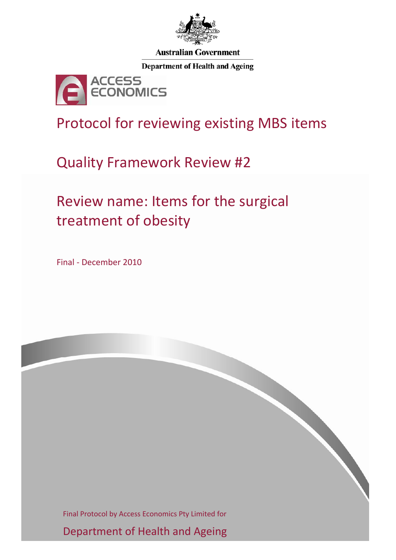

**Australian Government** 

**Department of Health and Ageing** 



Protocol for reviewing existing MBS items

Quality Framework Review #2

Review name: Items for the surgical treatment of obesity

Final ‐ December 2010

Final Protocol by Access Economics Pty Limited for

Department of Health and Ageing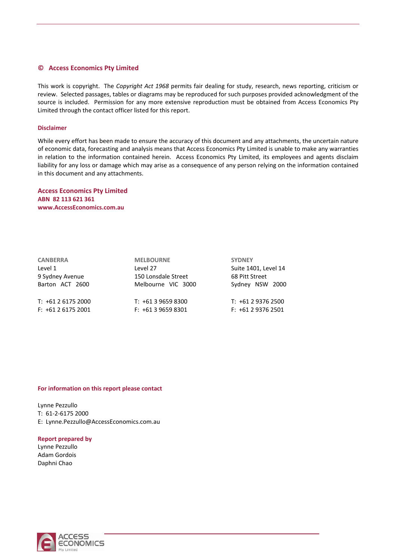#### **© Access Economics Pty Limited**

This work is copyright. The *Copyright Act 1968* permits fair dealing for study, research, news reporting, criticism or review. Selected passages, tables or diagrams may be reproduced for such purposes provided acknowledgment of the source is included. Permission for any more extensive reproduction must be obtained from Access Economics Pty Limited through the contact officer listed for this report.

#### **Disclaimer**

While every effort has been made to ensure the accuracy of this document and any attachments, the uncertain nature of economic data, forecasting and analysis means that Access Economics Pty Limited is unable to make any warranties in relation to the information contained herein. Access Economics Pty Limited, its employees and agents disclaim liability for any loss or damage which may arise as a consequence of any person relying on the information contained in this document and any attachments.

**Access Economics Pty Limited ABN 82 113 621 361 www.AccessEconomics.com.au**

| <b>MELBOURNE</b>    | <b>SYDNEY</b>        |  |
|---------------------|----------------------|--|
| Level 27            | Suite 1401, Level 14 |  |
| 150 Lonsdale Street | 68 Pitt Street       |  |
| Melbourne VIC 3000  | Sydney NSW 2000      |  |
| $T: +61396598300$   | $T: +61293762500$    |  |
| $F: +61396598301$   | $F: +61293762501$    |  |
|                     |                      |  |

#### **For information on this report please contact**

Lynne Pezzullo T: 61‐2‐6175 2000 E: Lynne.Pezzullo@AccessEconomics.com.au

#### **Report prepared by**

Lynne Pezzullo Adam Gordois Daphni Chao

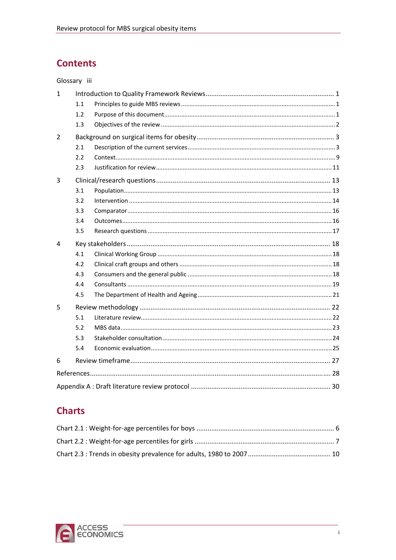# **Contents**

## Glossary iii

| $\mathbf{1}$ |     |  |
|--------------|-----|--|
|              | 1.1 |  |
|              | 1.2 |  |
|              | 1.3 |  |
| 2            |     |  |
|              | 2.1 |  |
|              | 2.2 |  |
|              | 2.3 |  |
| 3            |     |  |
|              | 3.1 |  |
|              | 3.2 |  |
|              | 3.3 |  |
|              | 3.4 |  |
|              | 3.5 |  |
| 4            |     |  |
|              | 4.1 |  |
|              | 4.2 |  |
|              | 4.3 |  |
|              | 4.4 |  |
|              | 4.5 |  |
| 5            |     |  |
|              | 5.1 |  |
|              | 5.2 |  |
|              | 5.3 |  |
|              | 5.4 |  |
| 6            |     |  |
|              |     |  |
|              |     |  |
|              |     |  |

# **Charts**

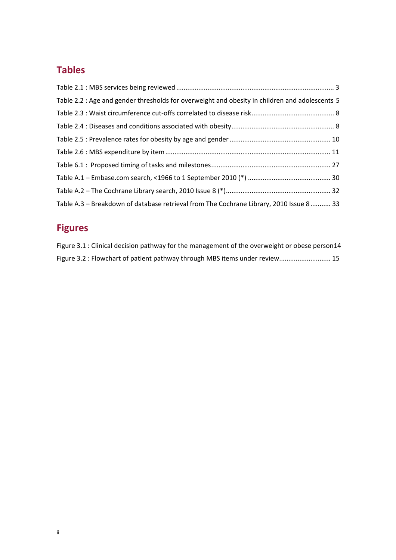# **Tables**

| Table 2.2 : Age and gender thresholds for overweight and obesity in children and adolescents 5 |
|------------------------------------------------------------------------------------------------|
|                                                                                                |
|                                                                                                |
|                                                                                                |
|                                                                                                |
|                                                                                                |
|                                                                                                |
|                                                                                                |
| Table A.3 - Breakdown of database retrieval from The Cochrane Library, 2010 Issue 8 33         |

# **Figures**

| Figure 3.1 : Clinical decision pathway for the management of the overweight or obese person14 |
|-----------------------------------------------------------------------------------------------|
| Figure 3.2 : Flowchart of patient pathway through MBS items under review 15                   |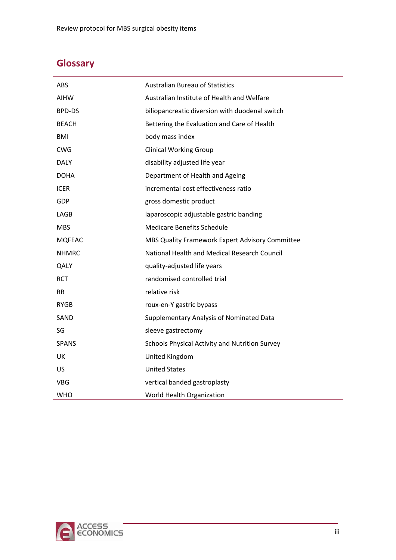# <span id="page-4-0"></span>**Glossary**

| ABS           | <b>Australian Bureau of Statistics</b>          |
|---------------|-------------------------------------------------|
| AIHW          | Australian Institute of Health and Welfare      |
| <b>BPD-DS</b> | biliopancreatic diversion with duodenal switch  |
| <b>BEACH</b>  | Bettering the Evaluation and Care of Health     |
| BMI           | body mass index                                 |
| CWG           | <b>Clinical Working Group</b>                   |
| DALY          | disability adjusted life year                   |
| <b>DOHA</b>   | Department of Health and Ageing                 |
| <b>ICER</b>   | incremental cost effectiveness ratio            |
| GDP           | gross domestic product                          |
| LAGB          | laparoscopic adjustable gastric banding         |
| <b>MBS</b>    | <b>Medicare Benefits Schedule</b>               |
| <b>MQFEAC</b> | MBS Quality Framework Expert Advisory Committee |
| <b>NHMRC</b>  | National Health and Medical Research Council    |
| QALY          | quality-adjusted life years                     |
| <b>RCT</b>    | randomised controlled trial                     |
| <b>RR</b>     | relative risk                                   |
| <b>RYGB</b>   | roux-en-Y gastric bypass                        |
| SAND          | Supplementary Analysis of Nominated Data        |
| SG            | sleeve gastrectomy                              |
| <b>SPANS</b>  | Schools Physical Activity and Nutrition Survey  |
| UK            | United Kingdom                                  |
| <b>US</b>     | <b>United States</b>                            |
| <b>VBG</b>    | vertical banded gastroplasty                    |
| WHO           | World Health Organization                       |

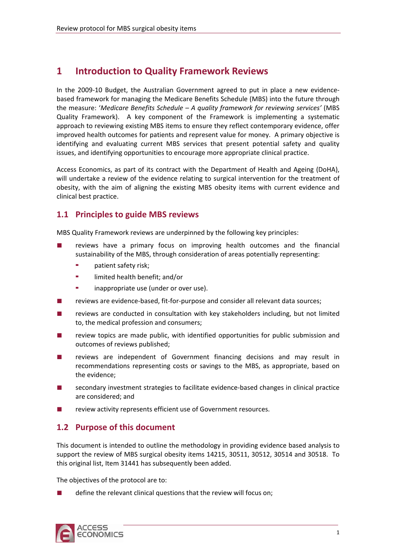# <span id="page-6-0"></span>**1 Introduction to Quality Framework Reviews**

In the 2009-10 Budget, the Australian Government agreed to put in place a new evidencebased framework for managing the Medicare Benefits Schedule (MBS) into the future through the measure: '*Medicare Benefits Schedule – A quality framework for reviewing services'* (MBS Quality Framework). A key component of the Framework is implementing a systematic approach to reviewing existing MBS items to ensure they reflect contemporary evidence, offer improved health outcomes for patients and represent value for money. A primary objective is identifying and evaluating current MBS services that present potential safety and quality issues, and identifying opportunities to encourage more appropriate clinical practice.

Access Economics, as part of its contract with the Department of Health and Ageing (DoHA), will undertake a review of the evidence relating to surgical intervention for the treatment of obesity, with the aim of aligning the existing MBS obesity items with current evidence and clinical best practice.

## **1.1 Principles to guide MBS reviews**

MBS Quality Framework reviews are underpinned by the following key principles:

- reviews have a primary focus on improving health outcomes and the financial sustainability of the MBS, through consideration of areas potentially representing:
	- patient safety risk;
	- limited health benefit; and/or
	- inappropriate use (under or over use).
- reviews are evidence-based, fit-for-purpose and consider all relevant data sources;
- reviews are conducted in consultation with key stakeholders including, but not limited to, the medical profession and consumers;
- review topics are made public, with identified opportunities for public submission and outcomes of reviews published;
- recommendations representing costs or savings to the MBS, as appropriate, based on reviews are independent of Government financing decisions and may result in the evidence;
- secondary investment strategies to facilitate evidence-based changes in clinical practice are considered; and
- review activity represents efficient use of Government resources.

## **1.2 Purpose of this document**

support the review of MBS surgical obesity items 14215, 30511, 30512, 30514 and 30518. To this original list, Item 31441 has subsequently been added. This document is intended to outline the methodology in providing evidence based analysis to

The objectives of the protocol are to:

define the relevant clinical questions that the review will focus on;

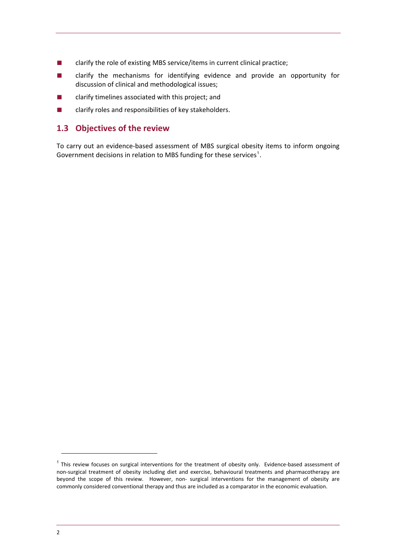- <span id="page-7-0"></span>■ clarify the role of existing MBS service/items in current clinical practice;
- clarify the mechanisms for identifying evidence and provide an opportunity for discussion of clinical and methodological issues;
- clarify timelines associated with this project; and
- clarify roles and responsibilities of key stakeholders.

## **1.3 Objectives of the review**

To carry out an evidence‐based assessment of MBS surgical obesity items to inform ongoing Government decisions in relation to MBS funding for these services<sup>1</sup>.

 $1$  This review focuses on surgical interventions for the treatment of obesity only. Evidence-based assessment of non‐surgical treatment of obesity including diet and exercise, behavioural treatments and pharmacotherapy are beyond the scope of this review. However, non- surgical interventions for the management of obesity are commonly considered conventional therapy and thus are included as a comparator in the economic evaluation.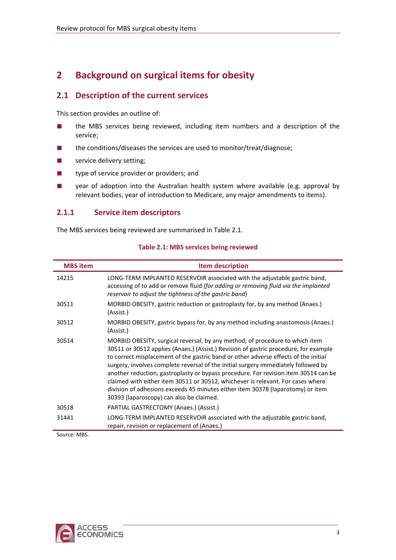# <span id="page-8-0"></span>**2 Background on surgical items for obesity**

## **2.1 Description of the current services**

This section provides an outline of:

- the MBS services being reviewed, including item numbers and a description of the service;
- the conditions/diseases the services are used to monitor/treat/diagnose;
- service delivery setting;
- type of service provider or providers; and
- year of adoption into the Australian health system where available (e.g. approval by relevant bodies, year of introduction to Medicare, any major amendments to items).

## **2.1.1 Service item descriptors**

The MBS services being reviewed are summarised in Table 2.1.

<span id="page-8-1"></span>

| <b>MBS</b> item | <b>Item description</b>                                                                                                                                                                                                                                                                                                                                                                                                                                                                                                                                                                                                                                    |
|-----------------|------------------------------------------------------------------------------------------------------------------------------------------------------------------------------------------------------------------------------------------------------------------------------------------------------------------------------------------------------------------------------------------------------------------------------------------------------------------------------------------------------------------------------------------------------------------------------------------------------------------------------------------------------------|
| 14215           | LONG-TERM IMPLANTED RESERVOIR associated with the adjustable gastric band,<br>accessing of to add or remove fluid (for adding or removing fluid via the implanted<br>reservoir to adjust the tightness of the gastric band)                                                                                                                                                                                                                                                                                                                                                                                                                                |
| 30511           | MORBID OBESITY, gastric reduction or gastroplasty for, by any method (Anaes.)<br>(Assist.)                                                                                                                                                                                                                                                                                                                                                                                                                                                                                                                                                                 |
| 30512           | MORBID OBESITY, gastric bypass for, by any method including anastomosis (Anaes.)<br>(Assist.)                                                                                                                                                                                                                                                                                                                                                                                                                                                                                                                                                              |
| 30514           | MORBID OBESITY, surgical reversal, by any method, of procedure to which item<br>30511 or 30512 applies (Anaes.) (Assist.) Revision of gastric procedure, for example<br>to correct misplacement of the gastric band or other adverse effects of the initial<br>surgery, involves complete reversal of the initial surgery immediately followed by<br>another reduction, gastroplasty or bypass procedure. For revision item 30514 can be<br>claimed with either item 30511 or 30512, whichever is relevant. For cases where<br>division of adhesions exceeds 45 minutes either item 30378 (laparotomy) or item<br>30393 (laparoscopy) can also be claimed. |
| 30518           | PARTIAL GASTRECTOMY (Anaes.) (Assist.)                                                                                                                                                                                                                                                                                                                                                                                                                                                                                                                                                                                                                     |
| 31441           | LONG-TERM IMPLANTED RESERVOIR associated with the adjustable gastric band,<br>repair, revision or replacement of (Anaes.)                                                                                                                                                                                                                                                                                                                                                                                                                                                                                                                                  |

### **Table 2.1: MBS services being reviewed**

Source: MBS.

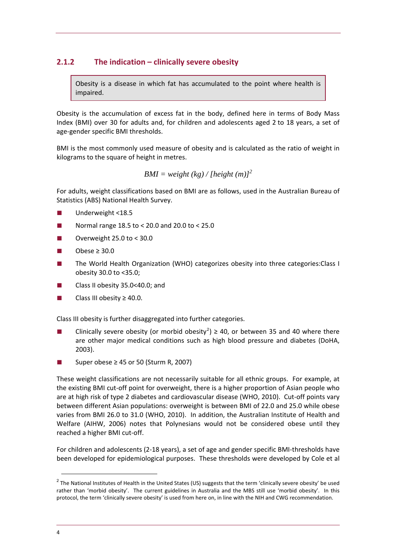## **2.1.2 The indication – clinically severe obesity**

Obesity is a disease in which fat has accumulated to the point where health is impaired.

Obesity is the accumulation of excess fat in the body, defined here in terms of Body Mass Index (BMI) over 30 for adults and, for children and adolescents aged 2 to 18 years, a set of age‐gender specific BMI thresholds.

BMI is the most commonly used measure of obesity and is calculated as the ratio of weight in kilograms to the square of height in metres.

$$
BMI = weight (kg) / [height (m)]^{2}
$$

For adults, weight classifications based on BMI are as follows, used in the Australian Bureau of Statistics (ABS) National Health Survey.

- Underweight <18.5
- Normal range  $18.5$  to < 20.0 and  $20.0$  to < 25.0
- Overweight 25.0 to < 30.0
- Obese  $\geq 30.0$
- The World Health Organization (WHO) categorizes obesity into three categories:Class I obesity 30.0 to <35.0;
- Class II obesity 35.0<40.0; and
- Class III obesity ≥ 40.0.

Class III obesity is further disaggregated into further categories.

- Clinically severe obesity (or morbid obesity<sup>2</sup>) ≥ 40, or between 35 and 40 where there are other major medical conditions such as high blood pressure and diabetes (DoHA, 2003).
- Super obese  $\geq$  45 or 50 (Sturm R, 2007)

varies from BMI 26.0 to 31.0 (WHO, 2010). In addition, the Australian Institute of Health and Welfare (AIHW, 2006) notes that Polynesians would not be considered obese until they These weight classifications are not necessarily suitable for all ethnic groups. For example, at the existing BMI cut-off point for overweight, there is a higher proportion of Asian people who are at high risk of type 2 diabetes and cardiovascular disease (WHO, 2010). Cut-off points vary between different Asian populations: overweight is between BMI of 22.0 and 25.0 while obese reached a higher BMI cut-off.

For children and adolescents (2‐18 years), a set of age and gender specific BMI‐thresholds have been developed for epidemiological purposes. These thresholds were developed by Cole et al

 $2$  The National Institutes of Health in the United States (US) suggests that the term 'clinically severe obesity' be used rather than 'morbid obesity'. The current guidelines in Australia and the MBS still use 'morbid obesity'. In this protocol, the term 'clinically severe obesity' is used from here on, in line with the NIH and CWG recommendation.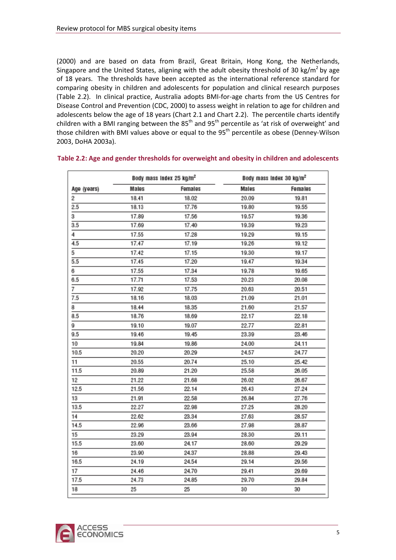<span id="page-10-0"></span>(2000) and are based on data from Brazil, Great Britain, Hong Kong, the Netherlands, Singapore and the United States, aligning with the adult obesity threshold of 30 kg/m<sup>2</sup> by age of 18 years. The thresholds have been accepted as the international reference standard for comparing obesity in children and adolescents for population and clinical research purposes [\(Table](#page-10-1) 2.2). In clinical practice, Australia adopts BMI‐for‐age charts from the US Centres for Disease Control and Prevention (CDC, 2000) to assess weight in relation to age for children and adolescents below the age of 18 years ([Chart](#page-11-1) 2.1 and [Chart](#page-12-1) 2.2). The percentile charts identify children with a BMI ranging between the  $85<sup>th</sup>$  and  $95<sup>th</sup>$  percentile as 'at risk of overweight' and those children with BMI values above or equal to the 95<sup>th</sup> percentile as obese (Denney-Wilson 2003, DoHA 2003a).

|             | Body mass Index 25 kg/m <sup>2</sup> |         | Body mass Index 30 kg/m <sup>2</sup> |         |  |
|-------------|--------------------------------------|---------|--------------------------------------|---------|--|
| Age (years) | Males                                | Females | Males                                | Females |  |
| 2           | 18.41                                | 18.02   | 20.09                                | 19.81   |  |
| 2.5         | 18.13                                | 17.76   | 19.80                                | 19.55   |  |
| 3           | 17.89                                | 17.56   | 19.57                                | 19.36   |  |
| 3.5         | 17.69                                | 17.40   | 19.39                                | 19.23   |  |
| 4           | 17.55                                | 17.28   | 19.29                                | 19.15   |  |
| 4.5         | 17.47                                | 17.19   | 19.26                                | 19.12   |  |
| 5           | 17.42                                | 17.15   | 19.30                                | 19.17   |  |
| 5.5         | 17.45                                | 17.20   | 19.47                                | 19.34   |  |
| 6           | 17.55                                | 17.34   | 19.78                                | 19.65   |  |
| 6.5         | 17.71                                | 17.53   | 20.23                                | 20.08   |  |
| 7           | 17.92                                | 17.75   | 20.63                                | 20.51   |  |
| 7.5         | 18.16                                | 18.03   | 21.09                                | 21.01   |  |
| 8           | 18.44                                | 18.35   | 21.60                                | 21.57   |  |
| 8.5         | 18.76                                | 18.69   | 22.17                                | 22.18   |  |
| 9           | 19.10                                | 19.07   | 22.77                                | 22.81   |  |
| 9.5         | 19.46                                | 19.45   | 23.39                                | 23.46   |  |
| 10          | 19.84                                | 19.86   | 24.00                                | 24.11   |  |
| 10.5        | 20.20                                | 20.29   | 24.57                                | 24.77   |  |
| 11          | 20.55                                | 20.74   | 25.10                                | 25.42   |  |
| 11.5        | 20.89                                | 21.20   | 25.58                                | 26.05   |  |
| 12          | 21.22                                | 21.68   | 26.02                                | 26.67   |  |
| 12.5        | 21.56                                | 22.14   | 26.43                                | 27.24   |  |
| 13          | 21.91                                | 22.58   | 26.84                                | 27.76   |  |
| 13.5        | 22.27                                | 22.98   | 27.25                                | 28.20   |  |
| 14          | 22.62                                | 23.34   | 27.63                                | 28.57   |  |
| 14.5        | 22.96                                | 23.66   | 27.98                                | 28.87   |  |
| 15          | 23.29                                | 23.94   | 28.30                                | 29.11   |  |
| 15.5        | 23.60                                | 24.17   | 28.60                                | 29.29   |  |
| 16          | 23.90                                | 24.37   | 28.88                                | 29.43   |  |
| 16.5        | 24.19                                | 24.54   | 29.14                                | 29.56   |  |
| 17          | 24.46                                | 24.70   | 29.41                                | 29.69   |  |
| 17.5        | 24.73                                | 24.85   | 29.70                                | 29.84   |  |
| 18          | 25                                   | 25      | 30                                   | 30      |  |
|             |                                      |         |                                      |         |  |

### <span id="page-10-1"></span>**Table 2.2: Age and gender thresholds for overweight and obesity in children and adolescents**

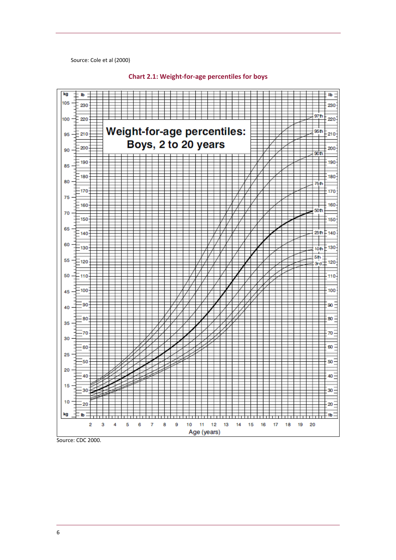<span id="page-11-0"></span>Source: Cole et al (200 0)

<span id="page-11-1"></span>

#### **Chart 2.1: Weight‐for‐age percentiles for boys**

Source: CDC 2000.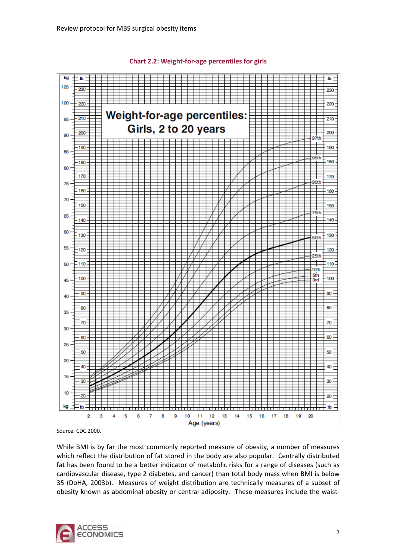<span id="page-12-1"></span><span id="page-12-0"></span>

#### **Chart 2.2: Weight‐for‐age percentiles for girls**

Source: CDC 2000.

While BMI is by far the most commonly reported measure of obesity, a number of measures which reflect the distribution of fat stored in the body are also popular. Centrally distributed fat has been found to be a better indicator of metabolic risks for a range of diseases (such as cardiovascular disease, type 2 diabetes, and cancer) than total body mass when BMI is below 35 (DoHA, 2003b). Measures of weight distribution are technically measures of a subset of obesity known as abdominal obesity or central adiposity. These measures include the waist-

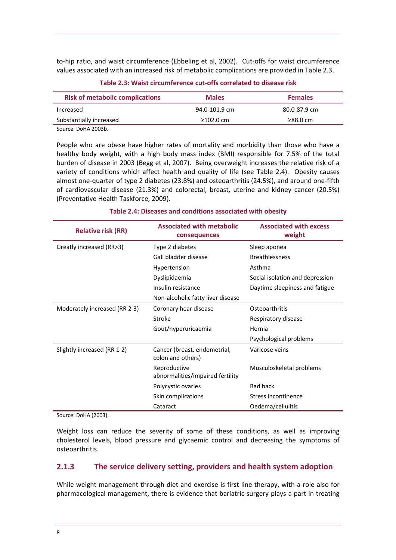<span id="page-13-0"></span>to-hip ratio, and waist circumference (Ebbeling et al, 2002). Cut-offs for waist circumference values associated with an increased risk of metabolic complications are provided in [Table](#page-13-1) 2.3.

<span id="page-13-1"></span>

| <b>Risk of metabolic complications</b> | <b>Males</b>  | <b>Females</b> |
|----------------------------------------|---------------|----------------|
| Increased                              | 94.0-101.9 cm | 80.0-87.9 cm   |
| Substantially increased                | ≥102.0 cm     | $\geq$ 88.0 cm |
| Source: DoHA 2003b.                    |               |                |

**Table 2.3: Waist circumference cut‐offs correlated to disease risk**

People who are obese have higher rates of mortality and morbidity than those who have a healthy body weight, with a high body mass index (BMI) responsible for 7.5% of the total burden of disease in 2003 (Begg et al, 2007). Being overweight increases the relative risk of a variety of conditions which affect health and quality of life (see [Table](#page-13-2) 2.4). Obesity causes almost one‐quarter of type 2 diabetes (23.8%) and osteoarthritis (24.5%), and around one‐fifth of cardiovascular disease (21.3%) and colorectal, breast, uterine and kidney cancer (20.5%) (Preventative Health Taskforce, 2009).

<span id="page-13-2"></span>

| <b>Relative risk (RR)</b>     | <b>Associated with metabolic</b><br>consequences  | <b>Associated with excess</b><br>weight |  |
|-------------------------------|---------------------------------------------------|-----------------------------------------|--|
| Greatly increased (RR>3)      | Type 2 diabetes                                   | Sleep aponea                            |  |
|                               | Gall bladder disease                              | <b>Breathlessness</b>                   |  |
|                               | Hypertension                                      | Asthma                                  |  |
|                               | Dyslipidaemia                                     | Social isolation and depression         |  |
|                               | Insulin resistance                                | Daytime sleepiness and fatigue          |  |
|                               | Non-alcoholic fatty liver disease                 |                                         |  |
| Moderately increased (RR 2-3) | Coronary hear disease                             | Osteoarthritis                          |  |
|                               | Stroke                                            | Respiratory disease                     |  |
|                               | Gout/hyperuricaemia                               | Hernia                                  |  |
|                               |                                                   | Psychological problems                  |  |
| Slightly increased (RR 1-2)   | Cancer (breast, endometrial,<br>colon and others) | Varicose veins                          |  |
|                               | Reproductive<br>abnormalities/impaired fertility  | Musculoskeletal problems                |  |
|                               | Polycystic ovaries                                | <b>Bad back</b>                         |  |
|                               | Skin complications                                | Stress incontinence                     |  |
|                               | Cataract                                          | Oedema/cellulitis                       |  |

### **Table 2.4: Diseases and conditions associated with obesity**

Source: DoHA (2003).

Weight loss can reduce the severity of some of these conditions, as well as improving cholesterol levels, blood pressure and glycaemic control and decreasing the symptoms of osteoarthritis.

### **2.1.3 The service delivery setting, providers and health system adoption**

While weight management through diet and exercise is first line therapy, with a role also for pharmacological management, there is evidence that bariatric surgery plays a part in treating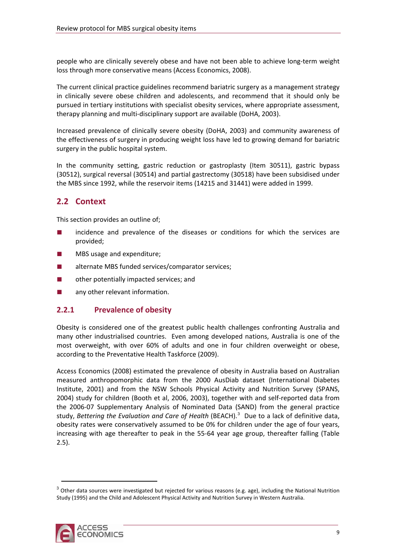<span id="page-14-0"></span>people who are clinically severely obese and have not been able to achieve long‐term weight loss through more conservative means (Access Economics, 2008).

The current clinical practice guidelines recommend bariatric surgery as a management strategy in clinically severe obese children and adolescents, and recommend that it should only be pursued in tertiary institutions with specialist obesity services, where appropriate assessment, therapy planning and multi‐disciplinary support are available (DoHA, 2003).

Increased prevalence of clinically severe obesity (DoHA, 2003) and community awareness of the effectiveness of surgery in producing weight loss have led to growing demand for bariatric surgery in the public hospital system.

In the community setting, gastric reduction or gastroplasty (Item 30511), gastric bypass (30512), surgical reversal (30514) and partial gastrectomy (30518) have been subsidised under the MBS since 1992, while the reservoir items (14215 and 31441) were added in 1999.

## **2.2 Context**

This section provides an outline of;

- incidence and prevalence of the diseases or conditions for which the services are provided;
- MBS usage and expenditure;
- alternate MBS funded services/comparator services:
- other potentially impacted services; and
- any other relevant information.

## **2.2.1 Prevalence of obesity**

most overweight, with over 60% of adults and one in four children overweight or obese, according to the Preventative Health Taskforce (2009). Obesity is considered one of the greatest public health challenges confronting Australia and many other industrialised countries. Even among developed nations, Australia is one of the

increasing with age thereafter to peak in the 55-64 year age group, thereafter falling (Table 2.5). Access Economics (2008) estimated the prevalence of obesity in Australia based on Australian measured anthropomorphic data from the 2000 AusDiab dataset (International Diabetes Institute, 2001) and from the NSW Schools Physical Activity and Nutrition Survey (SPANS, 2004) study for children (Booth et al, 2006, 2003), together with and self-reported data from the 2006‐07 Supplementary Analysis of Nominated Data (SAND) from the general practice study, *Bettering the Evaluation and Care of Health* (BEACH).[3](#page-14-1) Due to a lack of definitive data, obesity rates were conservatively assumed to be 0% for children under the age of four years,

<span id="page-14-1"></span> $3$  Other data sources were investigated but rejected for various reasons (e.g. age), including the National Nutrition Study (1995) and the Child and Adolescent Physical Activity and Nutrition Survey in Western Australia.

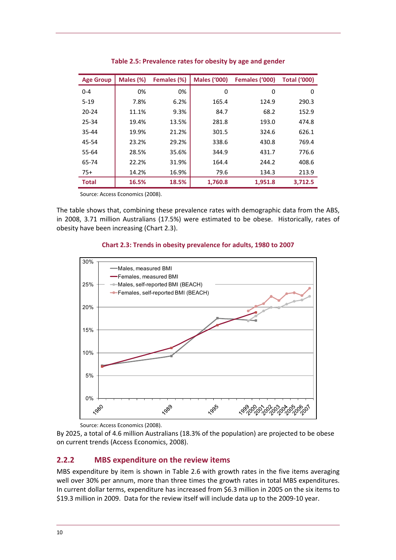<span id="page-15-0"></span>

| <b>Age Group</b> | Males (%) | Females (%) | <b>Males ('000)</b> | Females ('000) | <b>Total ('000)</b> |
|------------------|-----------|-------------|---------------------|----------------|---------------------|
| $0 - 4$          | 0%        | 0%          | 0                   | 0              | 0                   |
| $5 - 19$         | 7.8%      | 6.2%        | 165.4               | 124.9          | 290.3               |
| $20 - 24$        | 11.1%     | 9.3%        | 84.7                | 68.2           | 152.9               |
| 25-34            | 19.4%     | 13.5%       | 281.8               | 193.0          | 474.8               |
| 35-44            | 19.9%     | 21.2%       | 301.5               | 324.6          | 626.1               |
| 45-54            | 23.2%     | 29.2%       | 338.6               | 430.8          | 769.4               |
| 55-64            | 28.5%     | 35.6%       | 344.9               | 431.7          | 776.6               |
| 65-74            | 22.2%     | 31.9%       | 164.4               | 244.2          | 408.6               |
| $75+$            | 14.2%     | 16.9%       | 79.6                | 134.3          | 213.9               |
| <b>Total</b>     | 16.5%     | 18.5%       | 1,760.8             | 1,951.8        | 3,712.5             |

**Table 2.5: Prevalence rates for obesity by age and gender**

Source: Access Economics (2008).

<span id="page-15-1"></span>The table shows that, combining these prevalence rates with demographic data from the ABS, in 2008, 3.71 million Australians (17.5%) were estimated to be obese. Historically, rates of obesity have been increasing [\(Chart](#page-15-1) 2.3).

### **Chart 2.3: Trends in obesity prevalence for adults, 1980 to 2007**



Source: Access Economics (2008).

By 2025, a total of 4.6 million Australians (18.3% of the population) are projected to be obese on current trends (Access Economics, 2008).

### **2.2.2 MBS expenditure on the review items**

MBS expenditure by item is shown in [Table](#page-16-1) 2.6 with growth rates in the five items averaging well over 30% per annum, more than three times the growth rates in total MBS expenditures. In current dollar terms, expenditure has increased from \$6.3 million in 2005 on the six items to \$19.3 million in 2009. Data for the review itself will include data up to the 2009-10 year.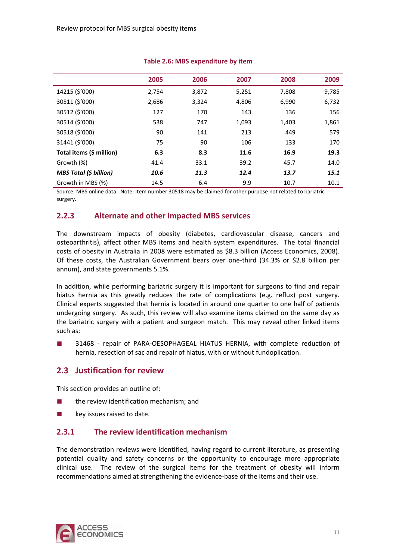<span id="page-16-1"></span><span id="page-16-0"></span>

|                               | 2005  | 2006  | 2007  | 2008  | 2009  |
|-------------------------------|-------|-------|-------|-------|-------|
| 14215 (\$'000)                | 2,754 | 3,872 | 5,251 | 7,808 | 9,785 |
| 30511 (\$'000)                | 2,686 | 3,324 | 4,806 | 6,990 | 6,732 |
| 30512 (\$'000)                | 127   | 170   | 143   | 136   | 156   |
| 30514 (\$'000)                | 538   | 747   | 1,093 | 1,403 | 1,861 |
| 30518 (\$'000)                | 90    | 141   | 213   | 449   | 579   |
| 31441 (\$'000)                | 75    | 90    | 106   | 133   | 170   |
| Total items (\$ million)      | 6.3   | 8.3   | 11.6  | 16.9  | 19.3  |
| Growth (%)                    | 41.4  | 33.1  | 39.2  | 45.7  | 14.0  |
| <b>MBS Total (\$ billion)</b> | 10.6  | 11.3  | 12.4  | 13.7  | 15.1  |
| Growth in MBS (%)             | 14.5  | 6.4   | 9.9   | 10.7  | 10.1  |

### **Table 2.6: MBS expenditure by item**

Source: MBS online data. Note: Item number 30518 may be claimed for other purpose not related to bariatric surgery.

## **2.2.3 Alternate and other impacted MBS services**

The downstream impacts of obesity (diabetes, cardiovascular disease, cancers and osteoarthritis), affect other MBS items and health system expenditures. The total financial costs of obesity in Australia in 2008 were estimated as \$8.3 billion (Access Economics, 2008). Of these costs, the Australian Government bears over one‐third (34.3% or \$2.8 billion per annum), and state governments 5.1%.

In addition, while performing bariatric surgery it is important for surgeons to find and repair hiatus hernia as this greatly reduces the rate of complications (e.g. reflux) post surgery. Clinical experts suggested that hernia is located in around one quarter to one half of patients undergoing surgery. As such, this review will also examine items claimed on the same day as the bariatric surgery with a patient and surgeon match. This may reveal other linked items such as:

31468 - repair of PARA-OESOPHAGEAL HIATUS HERNIA, with complete reduction of hernia, resection of sac and repair of hiatus, with or without fundoplication.

## **2.3 Justification for review**

This section provides an outline of:

- the review identification mechanism; and
- key issues raised to date.

## **2.3.1 The review identification mechanism**

The demonstration reviews were identified, having regard to current literature, as presenting potential quality and safety concerns or the opportunity to encourage more appropriate clinical use. The review of the surgical items for the treatment of obesity will inform recommendations aimed at strengthening the evidence‐base of the items and their use.

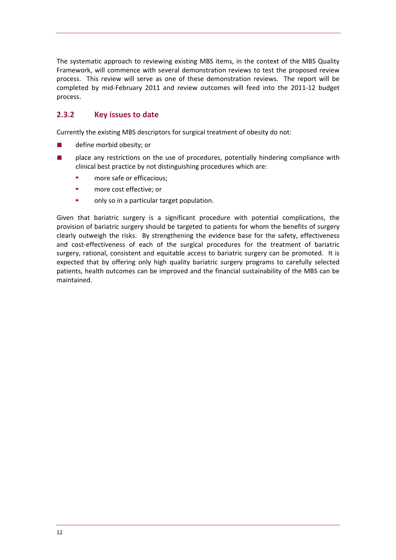The systematic approach to reviewing existing MBS items, in the context of the MBS Quality Framework, will commence with several demonstration reviews to test the proposed review process. This review will serve as one of these demonstration reviews. The report will be completed by mid‐February 2011 and review outcomes will feed into the 2011‐12 budget . process

## **2.3.2 Key issues to date**

Currently the existing MBS descriptors for surgical treatment of obesity do not:

- define morbid obesity; or
- place any restrictions on the use of procedures, potentially hindering compliance with clinical best practice by not distinguishing procedures which are:
	- more safe or efficacious;
	- more cost effective; or
	- only so in a particular target population.

expected that by offering only high quality bariatric surgery programs to carefully selected patients, health outcomes can be improved and the financial sustainability of the MBS can be maintained. Given that bariatric surgery is a significant procedure with potential complications, the provision of bariatric surgery should be targeted to patients for whom the benefits of surgery clearly outweigh the risks. By strengthening the evidence base for the safety, effectiveness and cost-effectiveness of each of the surgical procedures for the treatment of bariatric surgery, rational, consistent and equitable access to bariatric surgery can be promoted. It is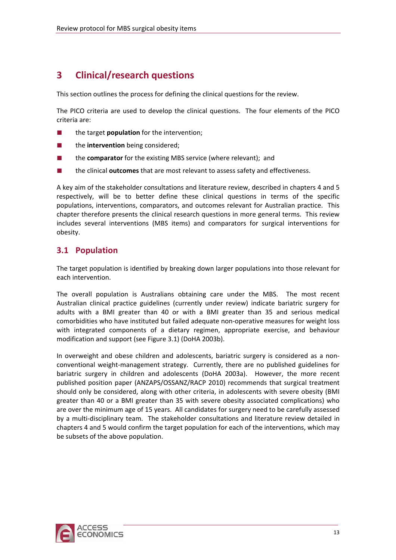# <span id="page-18-0"></span>**3 Clinical/research questions**

This section outlines the process for defining the clinical questions for the review.

The PICO criteria are used to develop the clinical questions. The four elements of the PICO criteria are:

- the target **population** for the intervention;
- the **intervention** being considered;
- the **comparator** for the existing MBS service (where relevant); and
- the clinical **outcomes** that are most relevant to assess safety and effectiveness.

includes several interventions (MBS items) and comparators for surgical interventions for obesity. A key aim of the stakeholder consultations and literature review, described in chapters 4 and 5 respectively, will be to better define these clinical questions in terms of the specific populations, interventions, comparators, and outcomes relevant for Australian practice. This chapter therefore presents the clinical research questions in more general terms. This review

## <span id="page-18-1"></span>**3.1 Population**

The target population is identified by breaking down larger populations into those relevant for each intervention.

with integrated components of a dietary regimen, appropriate exercise, and behaviour modification and support (see Figure 3.1) (DoHA 2003b). The overall population is Australians obtaining care under the MBS. The most recent Australian clinical practice guidelines (currently under review) indicate bariatric surgery for adults with a BMI greater than 40 or with a BMI greater than 35 and serious medical comorbidities who have instituted but failed adequate non‐operative measures for weight loss

chapters 4 and 5 would confirm the target population for each of the interventions, which may be subsets of the above population. In overweight and obese children and adolescents, bariatric surgery is considered as a non‐ conventional weight-management strategy. Currently, there are no published guidelines for bariatric surgery in children and adolescents (DoHA 2003a). However, the more recent published position paper (ANZAPS/OSSANZ/RACP 2010) recommends that surgical treatment should only be considered, along with other criteria, in adolescents with severe obesity (BMI greater than 40 or a BMI greater than 35 with severe obesity associated complications) who are over the minimum age of 15 years. All candidates for surgery need to be carefully assessed by a multi‐disciplinary team. The stakeholder consultations and literature review detailed in

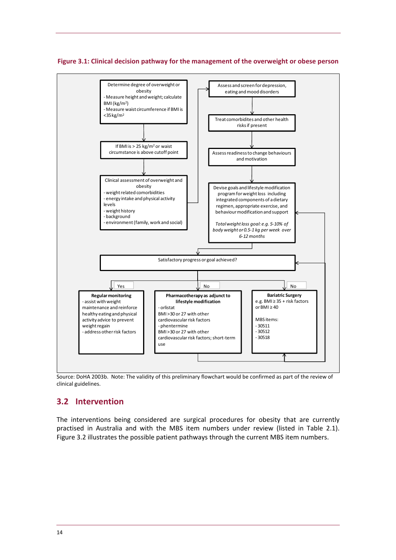### <span id="page-19-0"></span>**Figure 3.1: Clinical decision pathway for the management of the overweight or obese person**



Source: DoHA 2003b. Note: The validity of this preliminary flowchart would be confirmed as part of the review of clinical guidelines.

## **3.2 Intervention**

The interventions being considered are surgical procedures for obesity that are currently practised in Australia and with the MBS item numbers under review (listed in [Table](#page-8-1) 2.1). [Figure](#page-20-1) 3.2 illustrates the possible patient pathways through the current MBS item numbers.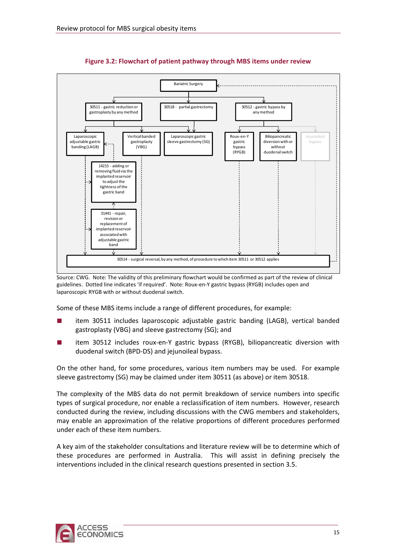<span id="page-20-1"></span><span id="page-20-0"></span>

**Figure 3.2: Flowchart of patient pathway through MBS items under review**

Source: CWG. Note: The validity of this preliminary flowchart would be confirmed as part of the review of clinical guidelines. Dotted line indicates 'if required'. Note: Roux‐en‐Y gastric bypass (RYGB) includes open and laparoscopic RYGB with or without duodenal switch.

Some of these MBS items include a range of different procedures, for example:

- item 30511 includes laparoscopic adjustable gastric banding (LAGB), vertical banded gastroplasty (VBG) and sleeve gastrectomy (SG); and
- item 30512 includes roux-en-Y gastric bypass (RYGB), biliopancreatic diversion with duodenal switch (BPD‐DS) and jejunoileal bypass.

On the other hand, for some procedures, various item numbers may be used. For example sleeve gastrectomy (SG) may be claimed under item 30511 (as above) or item 30518.

The complexity of the MBS data do not permit breakdown of service numbers into specific types of surgical procedure, nor enable a reclassification of item numbers. However, research conducted during the review, including discussions with the CWG members and stakeholders, may enable an approximation of the relative proportions of different procedures performed under each of these item numbers.

A key aim of the stakeholder consultations and literature review will be to determine which of these procedures are performed in Australia. This will assist in defining precisely the interventions included in the clinical research questions presented in section 3.5.

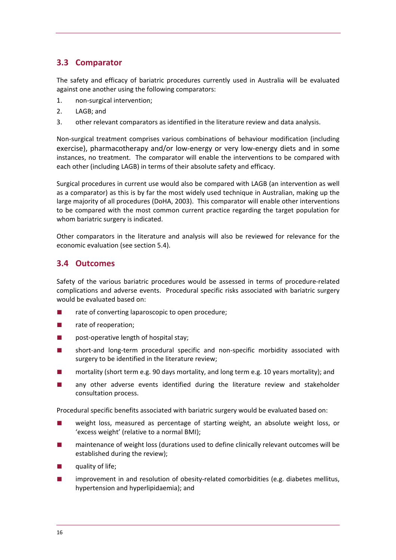## <span id="page-21-0"></span>**3.3 Comparator**

The safety and efficacy of bariatric procedures currently used in Australia will be evaluated against one another using the following comparators:

- 1. non‐surgical intervention;
- 2. LAGB; and
- 3. other relevant comparators as identified in the literature review and data analysis.

Non‐surgical treatment comprises various combinations of behaviour modification (including exercise), pharmacotherapy and/or low-energy or very low-energy diets and in some instances, no treatment. The comparator will enable the interventions to be compared with each other (including LAGB) in terms of their absolute safety and efficacy.

Surgical procedures in current use would also be compared with LAGB (an intervention as well as a comparator) as this is by far the most widely used technique in Australian, making up the large majority of all procedures (DoHA, 2003). This comparator will enable other interventions to be compared with the most common current practice regarding the target population for whom bariatric surgery is indicated.

Other comparators in the literature and analysis will also be reviewed for relevance for the economic evaluation (see section 5.4).

## <span id="page-21-1"></span>**3.4 Outcomes**

Safety of the various bariatric procedures would be assessed in terms of procedure‐related complications and adverse events. Procedural specific risks associated with bariatric surgery would be evaluated based on:

- rate of converting laparoscopic to open procedure;
- rate of reoperation;
- post-operative length of hospital stay;
- short-and long-term procedural specific and non-specific morbidity associated with surgery to be identified in the literature review;
- mortality (short term e.g. 90 days mortality, and long term e.g. 10 years mortality); and
- any other adverse events identified during the literature review and stakeholder consultation process.

Procedural specific benefits associated with bariatric surgery would be evaluated based on:

- weight loss, measured as percentage of starting weight, an absolute weight loss, or 'excess weight' (relative to a normal BMI);
- maintenance of weight loss (durations used to define clinically relevant outcomes will be established during the review);
- quality of life;
- hypertension and hyperlipidaemia); and improvement in and resolution of obesity-related comorbidities (e.g. diabetes mellitus,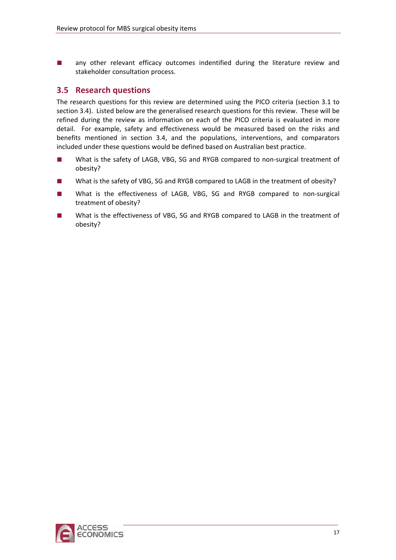<span id="page-22-0"></span>any other relevant efficacy outcomes indentified during the literature review and stakeholder consultation process.

## **3.5 Research questions**

refined during the review as information on each of the PICO criteria is evaluated in more detail. For example, safety and effectiveness would be measured based on the risks and benefits mentioned in section 3.4, and the populations, interventions, and comparators The research questions for this review are determined using the PICO criteria (section [3.1](#page-18-1) to section [3.4\)](#page-21-1). Listed below are the generalised research questions for this review. These will be included under these questions would be defined based on Australian best practice.

- What is the safety of LAGB, VBG, SG and RYGB compared to non-surgical treatment of obesity?
- What is the safety of VBG, SG and RYGB compared to LAGB in the treatment of obesity?
- What is the effectiveness of LAGB, VBG, SG and RYGB compared to non-surgical treatment of obesity?
- What is the effectiveness of VBG, SG and RYGB compared to LAGB in the treatment of obesity?

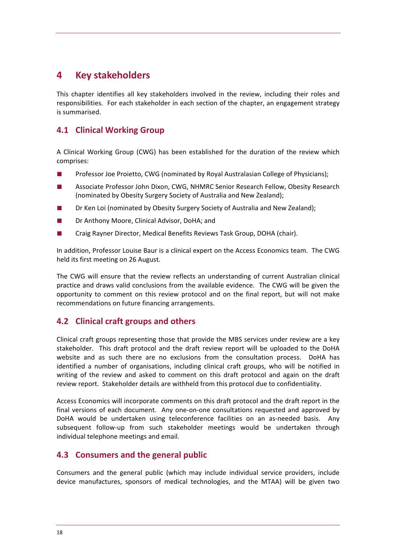# <span id="page-23-0"></span>**4 Key stakeholders**

This chapter identifies all key stakeholders involved in the review, including their roles and responsibilities. For each stakeholder in each section of the chapter, an engagement strategy is summarised.

## **4.1 Clinical Working Group**

A Clinical Working Group (CWG) has been established for the duration of the review which comprises:

- Professor Joe Proietto, CWG (nominated by Royal Australasian College of Physicians);
- Associate Professor John Dixon, CWG, NHMRC Senior Research Fellow, Obesity Research (nominated by Obesity Surgery Society of Australia and New Zealand);
- Dr Ken Loi (nominated by Obesity Surgery Society of Australia and New Zealand);
- Dr Anthony Moore, Clinical Advisor, DoHA; and
- Craig Rayner Director, Medical Benefits Reviews Task Group, DOHA (chair).

In addition, Professor Louise Baur is a clinical expert on the Access Economics team. The CWG held its first meeting on 26 August.

opportunity to comment on this review protocol and on the final report, but will not make recommendations on future financing arrangements. The CWG will ensure that the review reflects an understanding of current Australian clinical practice and draws valid conclusions from the available evidence. The CWG will be given the

## **4.2 Clinical craft groups and others**

writing of the review and asked to comment on this draft protocol and again on the draft review report. Stakeholder details are withheld from this protocol due to confidentiality. Clinical craft groups representing those that provide the MBS services under review are a key stakeholder. This draft protocol and the draft review report will be uploaded to the DoHA website and as such there are no exclusions from the consultation process. DoHA has identified a number of organisations, including clinical craft groups, who will be notified in

subsequent follow-up from such stakeholder meetings would be undertaken through individual telephone meetings and email. Access Economics will incorporate comments on this draft protocol and the draft report in the final versions of each document. Any one-on-one consultations requested and approved by DoHA would be undertaken using teleconference facilities on an as-needed basis. Any

## **Consumers and the general public 4.3**

Consumers and the general public (which may include individual service providers, include device manufactures, sponsors of medical technologies, and the MTAA) will be given two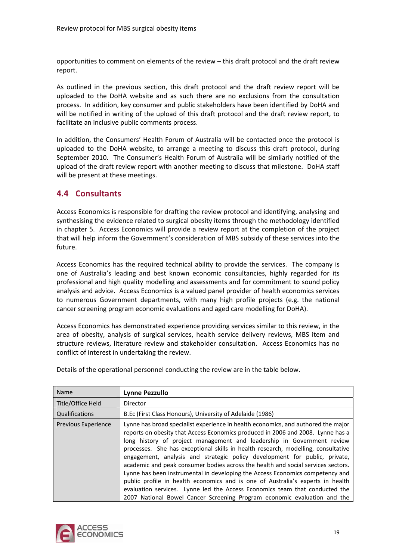<span id="page-24-0"></span>opportunities to comment on elements of the review – this draft protocol and the draft review report.

As outlined in the previous section, this draft protocol and the draft review report will be uploaded to the DoHA website and as such there are no exclusions from the consultation process. In addition, key consumer and public stakeholders have been identified by DoHA and will be notified in writing of the upload of this draft protocol and the draft review report, to facilitate an inclusive public comments process.

uploaded to the DoHA website, to arrange a meeting to discuss this draft protocol, during September 2010. The Consumer's Health Forum of Australia will be similarly notified of the upload of the draft review report with another meeting to discuss that milestone. DoHA staff will be present at these meetings. In addition, the Consumers' Health Forum of Australia will be contacted once the protocol is

## **4.4 Consultants**

synthesising the evidence related to surgical obesity items through the methodology identified in chapter 5. Access Economics will provide a review report at the completion of the project Access Economics is responsible for drafting the review protocol and identifying, analysing and that will help inform the Government's consideration of MBS subsidy of these services into the future.

professional and high quality modelling and assessments and for commitment to sound policy analysis and advice. Access Economics is a valued panel provider of health economics services Access Economics has the required technical ability to provide the services. The company is one of Australia's leading and best known economic consultancies, highly regarded for its to numerous Government departments, with many high profile projects (e.g. the national cancer screening program economic evaluations and aged care modelling for DoHA).

Access Economics has demonstrated experience providing services similar to this review, in the area of obesity, analysis of surgical services, health service delivery reviews, MBS item and structure reviews, literature review and stakeholder consultation. Access Economics has no conflict of interest in undertaking the review.

| <b>Name</b>         | <b>Lynne Pezzullo</b>                                                                                                                                                                                                                                                                                                                                                                                                                                                                                                                                                                                                                                                                                                                                                                                                               |
|---------------------|-------------------------------------------------------------------------------------------------------------------------------------------------------------------------------------------------------------------------------------------------------------------------------------------------------------------------------------------------------------------------------------------------------------------------------------------------------------------------------------------------------------------------------------------------------------------------------------------------------------------------------------------------------------------------------------------------------------------------------------------------------------------------------------------------------------------------------------|
| Title/Office Held   | Director                                                                                                                                                                                                                                                                                                                                                                                                                                                                                                                                                                                                                                                                                                                                                                                                                            |
| Qualifications      | B.Ec (First Class Honours), University of Adelaide (1986)                                                                                                                                                                                                                                                                                                                                                                                                                                                                                                                                                                                                                                                                                                                                                                           |
| Previous Experience | Lynne has broad specialist experience in health economics, and authored the major<br>reports on obesity that Access Economics produced in 2006 and 2008. Lynne has a<br>long history of project management and leadership in Government review<br>processes. She has exceptional skills in health research, modelling, consultative<br>engagement, analysis and strategic policy development for public, private,<br>academic and peak consumer bodies across the health and social services sectors.<br>Lynne has been instrumental in developing the Access Economics competency and<br>public profile in health economics and is one of Australia's experts in health<br>evaluation services. Lynne led the Access Economics team that conducted the<br>2007 National Bowel Cancer Screening Program economic evaluation and the |

Details of the operational personnel conducting the review are in the table below.

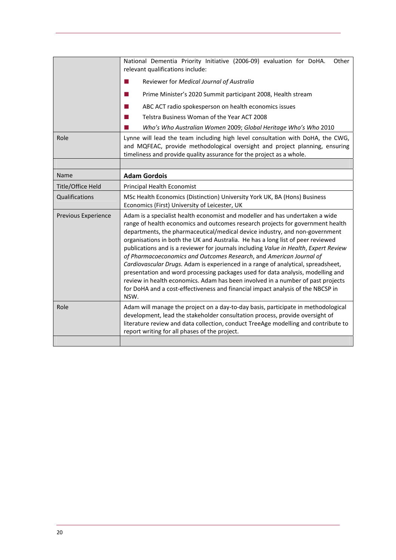|                            | National Dementia Priority Initiative (2006-09) evaluation for DoHA.<br>Other<br>relevant qualifications include:<br>Reviewer for Medical Journal of Australia<br>ш<br>Prime Minister's 2020 Summit participant 2008, Health stream<br>m.<br>ABC ACT radio spokesperson on health economics issues<br>Telstra Business Woman of the Year ACT 2008<br>Who's Who Australian Women 2009; Global Heritage Who's Who 2010                                                                                                                                                                                                                                                                                                                                                                                                                                 |  |  |
|----------------------------|------------------------------------------------------------------------------------------------------------------------------------------------------------------------------------------------------------------------------------------------------------------------------------------------------------------------------------------------------------------------------------------------------------------------------------------------------------------------------------------------------------------------------------------------------------------------------------------------------------------------------------------------------------------------------------------------------------------------------------------------------------------------------------------------------------------------------------------------------|--|--|
| Role                       | Lynne will lead the team including high level consultation with DoHA, the CWG,<br>and MQFEAC, provide methodological oversight and project planning, ensuring<br>timeliness and provide quality assurance for the project as a whole.                                                                                                                                                                                                                                                                                                                                                                                                                                                                                                                                                                                                                |  |  |
| Name                       | <b>Adam Gordois</b>                                                                                                                                                                                                                                                                                                                                                                                                                                                                                                                                                                                                                                                                                                                                                                                                                                  |  |  |
| Title/Office Held          | Principal Health Economist                                                                                                                                                                                                                                                                                                                                                                                                                                                                                                                                                                                                                                                                                                                                                                                                                           |  |  |
| Qualifications             | MSc Health Economics (Distinction) University York UK, BA (Hons) Business<br>Economics (First) University of Leicester, UK                                                                                                                                                                                                                                                                                                                                                                                                                                                                                                                                                                                                                                                                                                                           |  |  |
| <b>Previous Experience</b> | Adam is a specialist health economist and modeller and has undertaken a wide<br>range of health economics and outcomes research projects for government health<br>departments, the pharmaceutical/medical device industry, and non-government<br>organisations in both the UK and Australia. He has a long list of peer reviewed<br>publications and is a reviewer for journals including Value in Health, Expert Review<br>of Pharmacoeconomics and Outcomes Research, and American Journal of<br>Cardiovascular Drugs. Adam is experienced in a range of analytical, spreadsheet,<br>presentation and word processing packages used for data analysis, modelling and<br>review in health economics. Adam has been involved in a number of past projects<br>for DoHA and a cost-effectiveness and financial impact analysis of the NBCSP in<br>NSW. |  |  |
| Role                       | Adam will manage the project on a day-to-day basis, participate in methodological<br>development, lead the stakeholder consultation process, provide oversight of<br>literature review and data collection, conduct TreeAge modelling and contribute to<br>report writing for all phases of the project.                                                                                                                                                                                                                                                                                                                                                                                                                                                                                                                                             |  |  |
|                            |                                                                                                                                                                                                                                                                                                                                                                                                                                                                                                                                                                                                                                                                                                                                                                                                                                                      |  |  |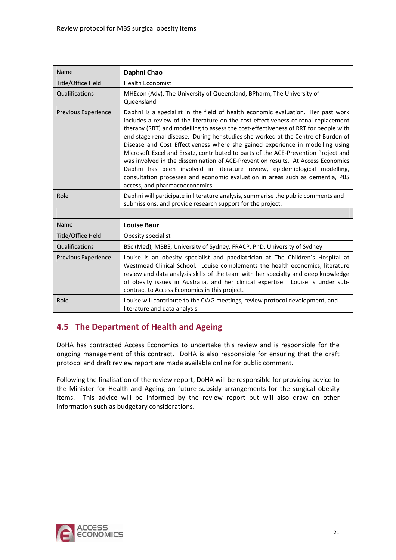<span id="page-26-0"></span>

| Name                                                                                                                                                    | Daphni Chao                                                                                                                                                                                                                                                                                                                                                                                                                                                                                                                                                                                                                                                                                                                                                                                                   |  |
|---------------------------------------------------------------------------------------------------------------------------------------------------------|---------------------------------------------------------------------------------------------------------------------------------------------------------------------------------------------------------------------------------------------------------------------------------------------------------------------------------------------------------------------------------------------------------------------------------------------------------------------------------------------------------------------------------------------------------------------------------------------------------------------------------------------------------------------------------------------------------------------------------------------------------------------------------------------------------------|--|
| Title/Office Held                                                                                                                                       | <b>Health Economist</b>                                                                                                                                                                                                                                                                                                                                                                                                                                                                                                                                                                                                                                                                                                                                                                                       |  |
| Qualifications                                                                                                                                          | MHEcon (Adv), The University of Queensland, BPharm, The University of<br>Queensland                                                                                                                                                                                                                                                                                                                                                                                                                                                                                                                                                                                                                                                                                                                           |  |
| <b>Previous Experience</b>                                                                                                                              | Daphni is a specialist in the field of health economic evaluation. Her past work<br>includes a review of the literature on the cost-effectiveness of renal replacement<br>therapy (RRT) and modelling to assess the cost-effectiveness of RRT for people with<br>end-stage renal disease. During her studies she worked at the Centre of Burden of<br>Disease and Cost Effectiveness where she gained experience in modelling using<br>Microsoft Excel and Ersatz, contributed to parts of the ACE-Prevention Project and<br>was involved in the dissemination of ACE-Prevention results. At Access Economics<br>Daphni has been involved in literature review, epidemiological modelling,<br>consultation processes and economic evaluation in areas such as dementia, PBS<br>access, and pharmacoeconomics. |  |
| Role<br>Daphni will participate in literature analysis, summarise the public comments and<br>submissions, and provide research support for the project. |                                                                                                                                                                                                                                                                                                                                                                                                                                                                                                                                                                                                                                                                                                                                                                                                               |  |
|                                                                                                                                                         |                                                                                                                                                                                                                                                                                                                                                                                                                                                                                                                                                                                                                                                                                                                                                                                                               |  |
| Name                                                                                                                                                    | <b>Louise Baur</b>                                                                                                                                                                                                                                                                                                                                                                                                                                                                                                                                                                                                                                                                                                                                                                                            |  |
| Title/Office Held                                                                                                                                       | Obesity specialist                                                                                                                                                                                                                                                                                                                                                                                                                                                                                                                                                                                                                                                                                                                                                                                            |  |
| Qualifications                                                                                                                                          | BSc (Med), MBBS, University of Sydney, FRACP, PhD, University of Sydney                                                                                                                                                                                                                                                                                                                                                                                                                                                                                                                                                                                                                                                                                                                                       |  |
| <b>Previous Experience</b>                                                                                                                              | Louise is an obesity specialist and paediatrician at The Children's Hospital at<br>Westmead Clinical School. Louise complements the health economics, literature<br>review and data analysis skills of the team with her specialty and deep knowledge<br>of obesity issues in Australia, and her clinical expertise. Louise is under sub-<br>contract to Access Economics in this project.                                                                                                                                                                                                                                                                                                                                                                                                                    |  |
| Role                                                                                                                                                    | Louise will contribute to the CWG meetings, review protocol development, and<br>literature and data analysis.                                                                                                                                                                                                                                                                                                                                                                                                                                                                                                                                                                                                                                                                                                 |  |

## **4.5 The Department of Health and Ageing**

DoHA has contracted Access Economics to undertake this review and is responsible for the ongoing management of this contract. DoHA is also responsible for ensuring that the draft protocol and draft review report are made available online for public comment.

Following the finalisation of the review report, DoHA will be responsible for providing advice to the Minister for Health and Ageing on future subsidy arrangements for the surgical obesity items. This advice will be informed by the review report but will also draw on other information such as budgetary considerations.

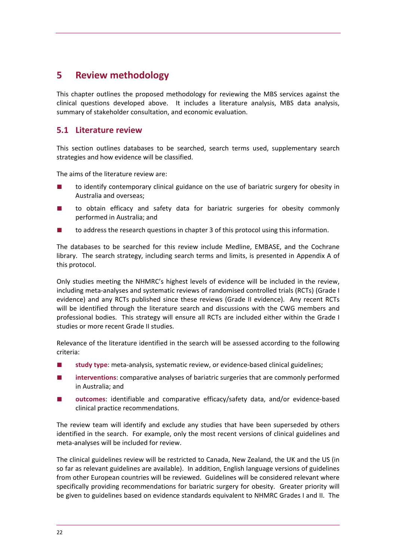# <span id="page-27-0"></span>**5 Review methodology**

This chapter outlines the proposed methodology for reviewing the MBS services against the clinical questions developed above. It includes a literature analysis, MBS data analysis, summary of stakeholder consultation, and economic evaluation.

## **5.1 Literature review**

This section outlines databases to be searched, search terms used, supplementary search strategies and how evidence will be classified.

The aims of the literature review are:

- to identify contemporary clinical guidance on the use of bariatric surgery for obesity in Australia and overseas;
- to obtain efficacy and safety data for bariatric surgeries for obesity commonly performed in Australia; and
- to address the research questions in chapter 3 of this protocol using this information.

The databases to be searched for this review include Medline, EMBASE, and the Cochrane library. The search strategy, including search terms and limits, is presented in Appendix A of this protocol.

Only studies meeting the NHMRC's highest levels of evidence will be included in the review, including meta‐analyses and systematic reviews of randomised controlled trials (RCTs) (Grade I evidence) and any RCTs published since these reviews (Grade II evidence). Any recent RCTs will be identified through the literature search and discussions with the CWG members and professional bodies. This strategy will ensure all RCTs are included either within the Grade I studies or more recent Grade II studies.

Relevance of the literature identified in the search will be assessed according to the following criteria:

- **study type**: meta-analysis, systematic review, or evidence-based clinical guidelines;
- interventions: comparative analyses of bariatric surgeries that are commonly performed in Australia; and
- outcomes: identifiable and comparative efficacy/safety data, and/or evidence-based clinical practice recommendations.

identified in the search. For example, only the most recent versions of clinical guidelines and meta‐analyses will be included for review. The review team will identify and exclude any studies that have been superseded by others

The clinical guidelines review will be restricted to Canada, New Zealand, the UK and the US (in so far as relevant guidelines are available). In addition, English language versions of guidelines from other European countries will be reviewed. Guidelines will be considered relevant where specifically providing recommendations for bariatric surgery for obesity. Greater priority will be given to guidelines based on evidence standards equivalent to NHMRC Grades I and II. The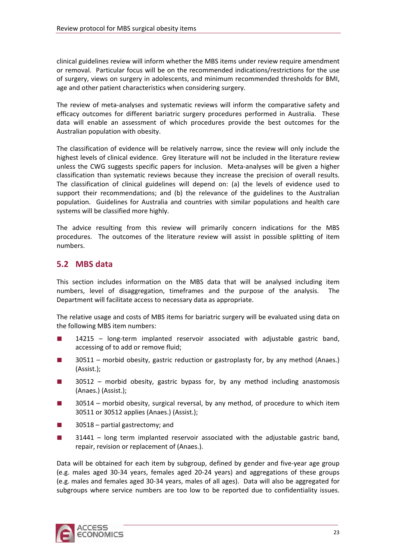<span id="page-28-0"></span>clinical guidelines review will inform whether the MBS items under review require amendment or removal. Particular focus will be on the recommended indications/restrictions for the use of surgery, views on surgery in adolescents, and minimum recommended thresholds for BMI, age and other patient characteristics when considering surgery.

data will enable an assessment of which procedures provide the best outcomes for the Australian population with obesity. The review of meta‐analyses and systematic reviews will inform the comparative safety and efficacy outcomes for different bariatric surgery procedures performed in Australia. These

population. Guidelines for Australia and countries with similar populations and health care systems will be classified more highly. The classification of evidence will be relatively narrow, since the review will only include the highest levels of clinical evidence. Grey literature will not be included in the literature review unless the CWG suggests specific papers for inclusion. Meta-analyses will be given a higher classification than systematic reviews because they increase the precision of overall results. The classification of clinical guidelines will depend on: (a) the levels of evidence used to support their recommendations; and (b) the relevance of the guidelines to the Australian

procedures. The outcomes of the literature review will assist in possible splitting of item numbers. The advice resulting from this review will primarily concern indications for the MBS

## **5.2 MBS data**

numbers, level of disaggregation, timeframes and the purpose of the analysis. The Department will facilitate access to necessary data as appropriate. This section includes information on the MBS data that will be analysed including item

The relative usage and costs of MBS items for bariatric surgery will be evaluated using data on the following MBS item numbers:

- 14215 long-term implanted reservoir associated with adjustable gastric band, accessing of to add or remove fluid;
- 30511 morbid obesity, gastric reduction or gastroplasty for, by any method (Anaes.) (Assist.);
- 30512 morbid obesity, gastric bypass for, by any method including anastomosis (Anaes.) (Assist.);
- 30514 morbid obesity, surgical reversal, by any method, of procedure to which item 30511 or 30512 applies (Anaes.) (Assist.);
- 30518 partial gastrectomy; and
- 31441 long term implanted reservoir associated with the adjustable gastric band, repair, revision or replacement of (Anaes.).

Data will be obtained for each item by subgroup, defined by gender and five-year age group (e.g. males aged 30‐34 years, females aged 20‐24 years) and aggregations of these groups (e.g. males and females aged 30‐34 years, males of all ages). Data will also be aggregated for subgroups where service numbers are too low to be reported due to confidentiality issues.

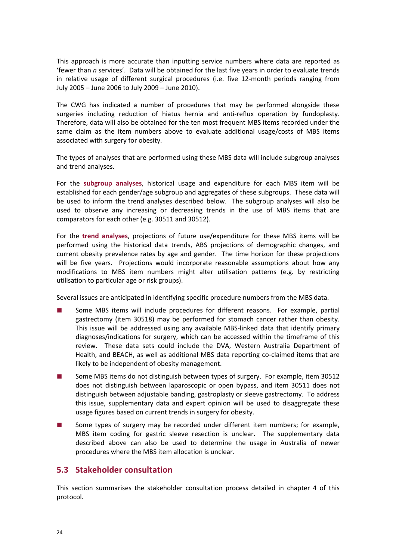<span id="page-29-0"></span>This approach is more accurate than inputting service numbers where data are reported as 'fewer than *n* services'. Data will be obtained for the last five years in order to evaluate trends in relative usage of different surgical procedures (i.e. five 12‐month periods ranging from July 2005 – June 2006 to July 2009 – June 2010).

Therefore, data will also be obtained for the ten most frequent MBS items recorded under the same claim as the item numbers above to evaluate additional usage/costs of MBS items The CWG has indicated a number of procedures that may be performed alongside these surgeries including reduction of hiatus hernia and anti-reflux operation by fundoplasty. associated with surgery for obesity.

The types of analyses that are performed using these MBS data will include subgroup analyses and trend analyses.

be used to inform the trend analyses described below. The subgroup analyses will also be used to observe any increasing or decreasing trends in the use of MBS items that are For the **subgroup analyses**, historical usage and expenditure for each MBS item will be established for each gender/age subgroup and aggregates of these subgroups. These data will comparators for each other (e.g. 30511 and 30512).

will be five years. Projections would incorporate reasonable assumptions about how any modifications to MBS item numbers might alter utilisation patterns (e.g. by restricting For the **trend analyses**, projections of future use/expenditure for these MBS items will be performed using the historical data trends, ABS projections of demographic changes, and current obesity prevalence rates by age and gender. The time horizon for these projections utilisation to particular age or risk groups).

Several issues are anticipated in identifying specific procedure numbers from the MBS data.

- review. These data sets could include the DVA, Western Australia Department of Some MBS items will include procedures for different reasons. For example, partial gastrectomy (item 30518) may be performed for stomach cancer rather than obesity. This issue will be addressed using any available MBS‐linked data that identify primary diagnoses/indications for surgery, which can be accessed within the timeframe of this Health, and BEACH, as well as additional MBS data reporting co‐claimed items that are likely to be independent of obesity management.
- distinguish between adjustable banding, gastroplasty or sleeve gastrectomy. To address Some MBS items do not distinguish between types of surgery. For example, item 30512 does not distinguish between laparoscopic or open bypass, and item 30511 does not this issue, supplementary data and expert opinion will be used to disaggregate these usage figures based on current trends in surgery for obesity.
- Some types of surgery may be recorded under different item numbers; for example, MBS item coding for gastric sleeve resection is unclear. The supplementary data described above can also be used to determine the usage in Australia of newer procedures where the MBS item allocation is unclear.

## **5.3 Stakeholder consultation**

This section summarises the stakeholder consultation process detailed in chapter 4 of this protocol.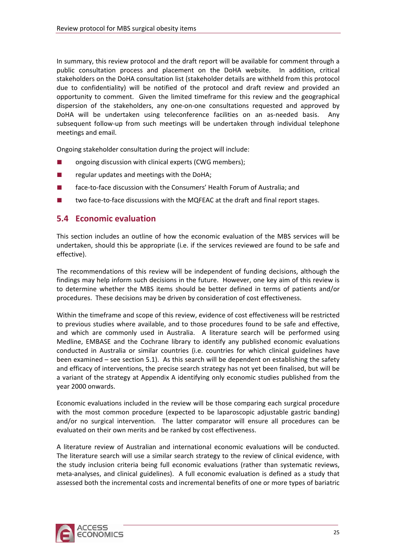<span id="page-30-0"></span>In summary, this review protocol and the draft report will be available for comment through a public consultation process and placement on the DoHA website. In addition, critical stakeholders on the DoHA consultation list (stakeholder details are withheld from this protocol due to confidentiality) will be notified of the protocol and draft review and provided an opportunity to comment. Given the limited timeframe for this review and the geographical dispersion of the stakeholders, any one‐on‐one consultations requested and approved by DoHA will be undertaken using teleconference facilities on an as-needed basis. Any subsequent follow-up from such meetings will be undertaken through individual telephone meetings and email.

Ongoing stakeholder consultation during the project will include:

- ongoing discussion with clinical experts (CWG members);
- regular updates and meetings with the DoHA;
- face-to-face discussion with the Consumers' Health Forum of Australia; and
- two face-to-face discussions with the MQFEAC at the draft and final report stages.

## **5.4 Economic evaluation**

undertaken, should this be appropriate (i.e. if the services reviewed are found to be safe and effective). This section includes an outline of how the economic evaluation of the MBS services will be

to determine whether the MBS items should be better defined in terms of patients and/or procedures. These decisions may be driven by consideration of cost effectiveness. The recommendations of this review will be independent of funding decisions, although the findings may help inform such decisions in the future. However, one key aim of this review is

a variant of the strategy at Appendix A identifying only economic studies published from the year 2000 onwards. Within the timeframe and scope of this review, evidence of cost effectiveness will be restricted to previous studies where available, and to those procedures found to be safe and effective, and which are commonly used in Australia. A literature search will be performed using Medline, EMBASE and the Cochrane library to identify any published economic evaluations conducted in Australia or similar countries (i.e. countries for which clinical guidelines have been examined – see section 5.1). As this search will be dependent on establishing the safety and efficacy of interventions, the precise search strategy has not yet been finalised, but will be

and/or no surgical intervention. The latter comparator will ensure all procedures can be evaluated on their own merits and be ranked by cost effectiveness. Economic evaluations included in the review will be those comparing each surgical procedure with the most common procedure (expected to be laparoscopic adjustable gastric banding)

A literature review of Australian and international economic evaluations will be conducted. The literature search will use a similar search strategy to the review of clinical evidence, with the study inclusion criteria being full economic evaluations (rather than systematic reviews, meta-analyses, and clinical guidelines). A full economic evaluation is defined as a study that assessed both the incremental costs and incremental benefits of one or more types of bariatric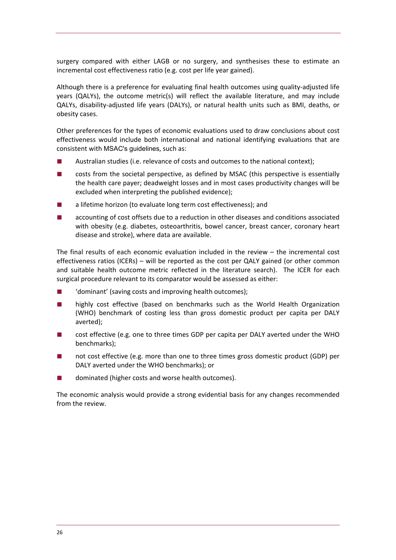surgery compared with either LAGB or no surgery, and synthesises these to estimate an incremental cost effectiveness ratio (e.g. cost per life year gained).

Although there is a preference for evaluating final health outcomes using quality‐adjusted life years (QALYs), the outcome metric(s) will reflect the available literature, and may include QALYs, disability‐adjusted life years (DALYs), or natural health units such as BMI, deaths, or obesity cases.

Other preferences for the types of economic evaluations used to draw conclusions about cost effectiveness would include both international and national identifying evaluations that are consistent with MSAC's guidelines, such as:

- Australian studies (i.e. relevance of costs and outcomes to the national context);
- costs from the societal perspective, as defined by MSAC (this perspective is essentially the health care payer; deadweight losses and in most cases productivity changes will be excluded when interpreting the published evidence);
- a lifetime horizon (to evaluate long term cost effectiveness); and
- accounting of cost offsets due to a reduction in other diseases and conditions associated with obesity (e.g. diabetes, osteoarthritis, bowel cancer, breast cancer, coronary heart disease and stroke), where data are available.

The final results of each economic evaluation included in the review – the incremental cost effectiveness ratios (ICERs) - will be reported as the cost per QALY gained (or other common and suitable health outcome metric reflected in the literature search). The ICER for each surgic al procedure relevant to its comparator would be assessed as either:

- 'dominant' (saving costs and improving health outcomes);
- highly cost effective (based on benchmarks such as the World Health Organization (WHO) benchmark of costing less than gross domestic product per capita per DALY averted);
- cost effective (e.g. one to three times GDP per capita per DALY averted under the WHO benchmarks);
- DALY averted under the WHO benchmarks); or not cost effective (e.g. more than one to three times gross domestic product (GDP) per
- dominated (higher costs and worse health outcomes). ■

The economic analysis would provide a strong evidential basis for any changes recommended from the review.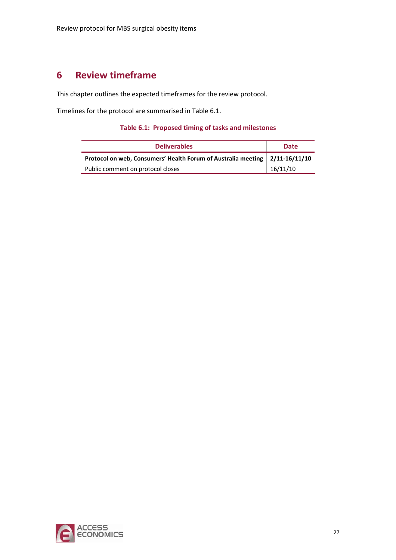# <span id="page-32-0"></span>**6 Review timeframe**

This chapter outlines the expected timeframes for the review protocol.

<span id="page-32-1"></span>Timelines for the protocol are summarised in [Table](#page-32-1) 6.1.

### **Table 6.1: Proposed timing of tasks and milestones**

| <b>Deliverables</b>                                                         | <b>Date</b> |  |
|-----------------------------------------------------------------------------|-------------|--|
| Protocol on web, Consumers' Health Forum of Australia meeting 2/11-16/11/10 |             |  |
| Public comment on protocol closes                                           | 16/11/10    |  |

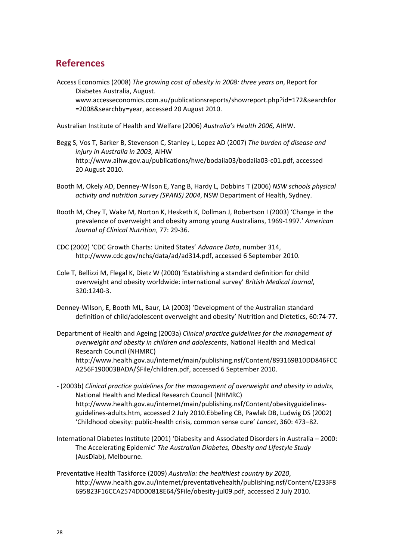# <span id="page-33-0"></span>**References**

Access Economics (2008) *The growing cost of obesity in 2008: three years on*, Report for Diabetes Australia, August. [www.accesseconomics.com.au/publicationsreports/showreport.php?id=172&searchfor](http://www.accesseconomics.com.au/publicationsreports/showreport.php?id=172&searchfor=2008&searchby=year) [=2008&searchby=year,](http://www.accesseconomics.com.au/publicationsreports/showreport.php?id=172&searchfor=2008&searchby=year) accessed 20 August 2010.

Australian Institute of Health and Welfare (2006) *Australia's Health 2006,* AIHW.

- Begg S, Vos T, Barker B, Stevenson C, Stanley L, Lopez AD (2007) *The burden of disease and injury in Australia in 2003,* AIHW [http://www.aihw.gov.au/publications/hwe/bodaiia03/bodaiia03](http://www.aihw.gov.au/publications/hwe/bodaiia03/bodaiia03-c01.pdf)‐c01.pdf, accessed 20 August 2010.
- Booth M, Okely AD, Denney‐Wilson E, Yang B, Hardy L, Dobbins T (2006) *NSW schools physical activity and nutrition survey (SPANS) 2004*, NSW Department of Health, Sydney.
- Booth M, Chey T, Wake M, Norton K, Hesketh K, Dollman J, Robertson I (2003) 'Change in the prevalence of overweight and obesity among young Australians, 1969‐1997.' *American Journal of Clinical Nutrition*, 77: 29‐36.
- CDC (2002) 'CDC Growth Charts: United States' *Advance Data*, number 314, [http://www.cdc.gov/nchs/data/ad/ad314.pdf,](http://www.cdc.gov/nchs/data/ad/ad314.pdf) accessed 6 September 2010.
- Cole T, Bellizzi M, Flegal K, Dietz W (2000) 'Establishing a standard definition for child overweight and obesity worldwide: international survey' *British Medical Journal*, 320:1240‐3.
- Denney‐Wilson, E, Booth ML, Baur, LA (2003) 'Development of the Australian standard definition of child/adolescent overweight and obesity' Nutrition and Dietetics, 60:74‐77.
- Department of Health and Ageing (2003a) *Clinical practice guidelines for the management of overweight and obesity in children and adolescents*, National Health and Medical Research Council (NHMRC) [http://www.health.gov.au/internet/main/publishing.nsf/Content/893169B10DD846FCC](http://www.health.gov.au/internet/main/publishing.nsf/Content/893169B10DD846FCCA256F190003BADA/$File/children.pdf) [A256F190003BADA/\\$File/children.pdf](http://www.health.gov.au/internet/main/publishing.nsf/Content/893169B10DD846FCCA256F190003BADA/$File/children.pdf), accessed 6 September 2010.
- ‐ (2003b) *Clinical practice guidelines for the management of overweight and obesity in adults*, National Health and Medical Research Council (NHMRC) [http://www.health.gov.au/internet/main/publishing.nsf/Content/obesityguidelines](http://www.health.gov.au/internet/main/publishing.nsf/Content/obesityguidelines-guidelines-adults.htm)‐ guidelines‐[adults.htm](http://www.health.gov.au/internet/main/publishing.nsf/Content/obesityguidelines-guidelines-adults.htm), accessed 2 July 2010.Ebbeling CB, Pawlak DB, Ludwig DS (2002) 'Childhood obesity: public‐health crisis, common sense cure' *Lancet*, 360: 473–82.
- International Diabetes Institute (2001) 'Diabesity and Associated Disorders in Australia 2000: The Accelerating Epidemic' *The Australian Diabetes, Obesity and Lifestyle Study* (AusDiab), Melbourne.
- Preventative Health Taskforce (2009) *Australia: the healthiest country by 2020*, [http://www.health.gov.au/internet/preventativehealth/publishing.nsf/Content/E233F8](http://www.health.gov.au/internet/preventativehealth/publishing.nsf/Content/E233F8695823F16CCA2574DD00818E64/$File/obesity-jul09.pdf) [695823F16CCA2574DD00818E64/\\$File/obesity](http://www.health.gov.au/internet/preventativehealth/publishing.nsf/Content/E233F8695823F16CCA2574DD00818E64/$File/obesity-jul09.pdf)‐jul09.pdf, accessed 2 July 2010.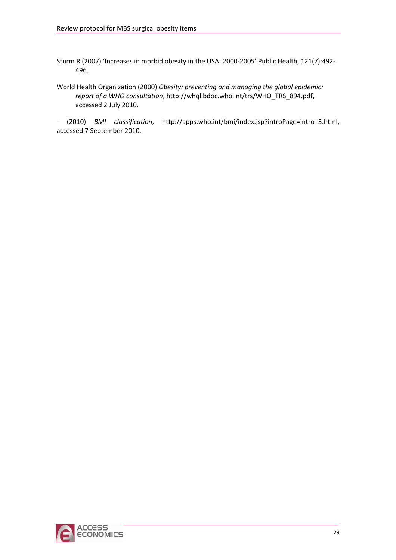Sturm R (2007) 'Increases in morbid obesity in the USA: 2000-2005' Public Health, 121(7):492-496.

World Health Organization (2000) *Obesity: preventing and managing the global epidemic: report of a WHO consultation*, [http://whqlibdoc.who.int/trs/WHO\\_TRS\\_894.pdf,](http://whqlibdoc.who.int/trs/WHO_TRS_894.pdf) accessed 2 July 2010.

‐ (2010) *BMI classification*, [http://apps.who.int/bmi/index.jsp?introPage=intro\\_3.html](http://apps.who.int/bmi/index.jsp?introPage=intro_3.html), accessed 7 September 2010.

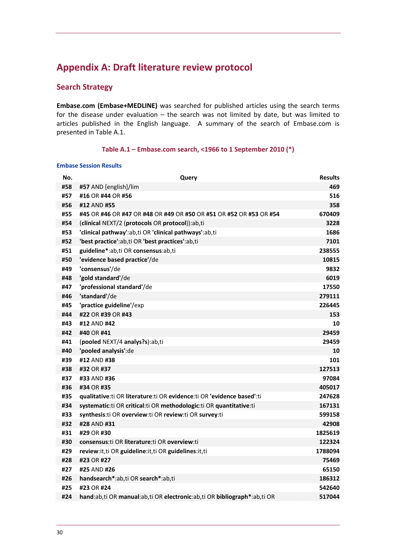# <span id="page-35-0"></span>**Appendix A: Draft literature review protocol**

### **Search Strategy**

**Embase.com (Embase+MEDLINE)** was searched for published articles using the search terms for the disease under evaluation – the search was not limited by date, but was limited to articles published in the English language. A summary of the search of Embase.com is presented in Table A.1.

#### **Table A.1 – Embase.com search, <1966 to 1 September 2010 (\*)**

#### **Embase Session Results**

| No. | Query                                                                     | <b>Results</b> |
|-----|---------------------------------------------------------------------------|----------------|
| #58 | #57 AND [english]/lim                                                     | 469            |
| #57 | #16 OR #44 OR #56                                                         | 516            |
| #56 | #12 AND #55                                                               | 358            |
| #55 | #45 OR #46 OR #47 OR #48 OR #49 OR #50 OR #51 OR #52 OR #53 OR #54        | 670409         |
| #54 | (clinical NEXT/2 (protocols OR protocol)):ab,ti                           | 3228           |
| #53 | 'clinical pathway':ab,ti OR 'clinical pathways':ab,ti                     | 1686           |
| #52 | 'best practice':ab,ti OR 'best practices':ab,ti                           | 7101           |
| #51 | guideline*:ab,ti OR consensus:ab,ti                                       | 238555         |
| #50 | 'evidence based practice'/de                                              | 10815          |
| #49 | 'consensus'/de                                                            | 9832           |
| #48 | 'gold standard'/de                                                        | 6019           |
| #47 | 'professional standard'/de                                                | 17550          |
| #46 | 'standard'/de                                                             | 279111         |
| #45 | 'practice guideline'/exp                                                  | 226445         |
| #44 | #22 OR #39 OR #43                                                         | 153            |
| #43 | #12 AND #42                                                               | 10             |
| #42 | #40 OR #41                                                                | 29459          |
| #41 | (pooled NEXT/4 analys?s):ab,ti                                            | 29459          |
| #40 | 'pooled analysis':de                                                      | 10             |
| #39 | #12 AND #38                                                               | 101            |
| #38 | #32 OR #37                                                                | 127513         |
| #37 | #33 AND #36                                                               | 97084          |
| #36 | #34 OR #35                                                                | 405017         |
| #35 | qualitative: ti OR literature: ti OR evidence: ti OR 'evidence based': ti | 247628         |
| #34 | systematic: ti OR critical: ti OR methodologic: ti OR quantitative: ti    | 167131         |
| #33 | synthesis:ti OR overview:ti OR review:ti OR survey:ti                     | 599158         |
| #32 | #28 AND #31                                                               | 42908          |
| #31 | #29 OR #30                                                                | 1825619        |
| #30 | consensus:ti OR literature:ti OR overview:ti                              | 122324         |
| #29 | review:it,ti OR guideline:it,ti OR guidelines:it,ti                       | 1788094        |
| #28 | #23 OR #27                                                                | 75469          |
| #27 | #25 AND #26                                                               | 65150          |
| #26 | handsearch*:ab,ti OR search*:ab,ti                                        | 186312         |
| #25 | #23 OR #24                                                                | 542640         |
| #24 | hand:ab,ti OR manual:ab,ti OR electronic:ab,ti OR bibliograph*:ab,ti OR   | 517044         |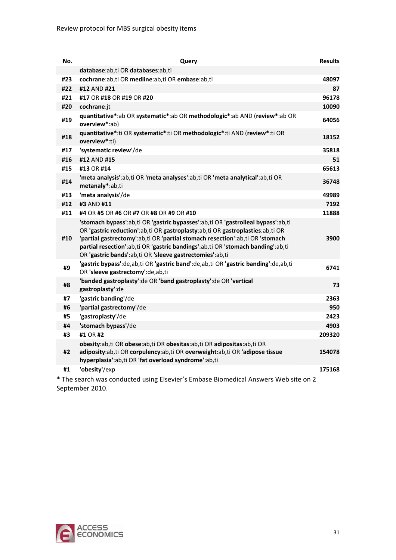| No. | Query                                                                                                                                                                                                                                                                                                                                                                                            | <b>Results</b> |
|-----|--------------------------------------------------------------------------------------------------------------------------------------------------------------------------------------------------------------------------------------------------------------------------------------------------------------------------------------------------------------------------------------------------|----------------|
|     | database:ab,ti OR databases:ab,ti                                                                                                                                                                                                                                                                                                                                                                |                |
| #23 | cochrane:ab,ti OR medline:ab,ti OR embase:ab,ti                                                                                                                                                                                                                                                                                                                                                  | 48097          |
| #22 | #12 AND #21                                                                                                                                                                                                                                                                                                                                                                                      | 87             |
| #21 | #17 OR #18 OR #19 OR #20                                                                                                                                                                                                                                                                                                                                                                         | 96178          |
| #20 | cochrane:jt                                                                                                                                                                                                                                                                                                                                                                                      | 10090          |
| #19 | quantitative*:ab OR systematic*:ab OR methodologic*:ab AND (review*:ab OR<br>overview*:ab)                                                                                                                                                                                                                                                                                                       | 64056          |
| #18 | quantitative*:ti OR systematic*:ti OR methodologic*:ti AND (review*:ti OR<br>overview*:ti)                                                                                                                                                                                                                                                                                                       | 18152          |
| #17 | 'systematic review'/de                                                                                                                                                                                                                                                                                                                                                                           | 35818          |
| #16 | #12 AND #15                                                                                                                                                                                                                                                                                                                                                                                      | 51             |
| #15 | #13 OR #14                                                                                                                                                                                                                                                                                                                                                                                       | 65613          |
| #14 | 'meta analysis':ab,ti OR 'meta analyses':ab,ti OR 'meta analytical':ab,ti OR<br>metanaly*:ab,ti                                                                                                                                                                                                                                                                                                  | 36748          |
| #13 | 'meta analysis'/de                                                                                                                                                                                                                                                                                                                                                                               | 49989          |
| #12 | #3 AND #11                                                                                                                                                                                                                                                                                                                                                                                       | 7192           |
| #11 | #4 OR #5 OR #6 OR #7 OR #8 OR #9 OR #10                                                                                                                                                                                                                                                                                                                                                          | 11888          |
| #10 | 'stomach bypass':ab,ti OR 'gastric bypasses':ab,ti OR 'gastroileal bypass':ab,ti<br>OR 'gastric reduction':ab,ti OR gastroplasty:ab,ti OR gastroplasties:ab,ti OR<br>'partial gastrectomy':ab,ti OR 'partial stomach resection':ab,ti OR 'stomach<br>partial resection':ab,ti OR 'gastric bandings':ab,ti OR 'stomach banding':ab,ti<br>OR 'gastric bands':ab,ti OR 'sleeve gastrectomies':ab,ti | 3900           |
| #9  | 'gastric bypass':de,ab,ti OR 'gastric band':de,ab,ti OR 'gastric banding':de,ab,ti<br>OR 'sleeve gastrectomy':de,ab,ti                                                                                                                                                                                                                                                                           | 6741           |
| #8  | 'banded gastroplasty': de OR 'band gastroplasty': de OR 'vertical<br>gastroplasty':de                                                                                                                                                                                                                                                                                                            | 73             |
| #7  | 'gastric banding'/de                                                                                                                                                                                                                                                                                                                                                                             | 2363           |
| #6  | 'partial gastrectomy'/de                                                                                                                                                                                                                                                                                                                                                                         | 950            |
| #5  | 'gastroplasty'/de                                                                                                                                                                                                                                                                                                                                                                                | 2423           |
| #4  | 'stomach bypass'/de                                                                                                                                                                                                                                                                                                                                                                              | 4903           |
| #3  | #1 OR #2                                                                                                                                                                                                                                                                                                                                                                                         | 209320         |
|     | obesity:ab,ti OR obese:ab,ti OR obesitas:ab,ti OR adipositas:ab,ti OR                                                                                                                                                                                                                                                                                                                            |                |
| #2  | adiposity:ab,ti OR corpulency:ab,ti OR overweight:ab,ti OR 'adipose tissue<br>hyperplasia':ab,ti OR 'fat overload syndrome':ab,ti                                                                                                                                                                                                                                                                | 154078         |
| #1  | 'obesity'/exp                                                                                                                                                                                                                                                                                                                                                                                    | 175168         |
|     | * The search was conducted using Elsevier's Embase Biomedical Answers Web site on 2                                                                                                                                                                                                                                                                                                              |                |

September 2010.

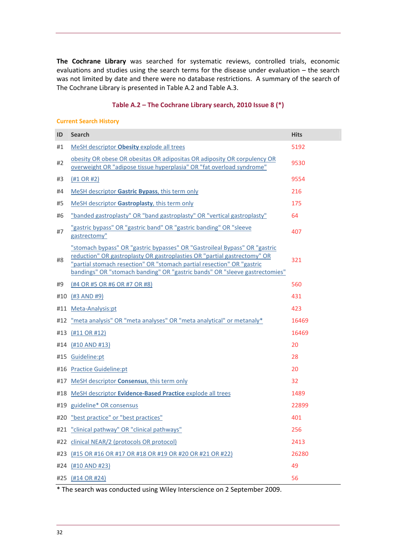<span id="page-37-0"></span>**The Cochrane Library** was searched for systematic reviews, controlled trials, economic evaluations and studies using the search terms for the disease under evaluation – the search was not limited by date and there were no database restrictions. A summary of the search of The Cochrane Library is presented in Table A.2 and Table A.3.

#### **Table A.2 – The Cochrane Library search, 2010 Issue 8 (\*)**

#### **Current Search History**

| ID  | <b>Search</b>                                                                                                                                                                                                                                                                                                   | <b>Hits</b> |
|-----|-----------------------------------------------------------------------------------------------------------------------------------------------------------------------------------------------------------------------------------------------------------------------------------------------------------------|-------------|
| #1  | MeSH descriptor <b>Obesity</b> explode all trees                                                                                                                                                                                                                                                                | 5192        |
| #2  | obesity OR obese OR obesitas OR adipositas OR adiposity OR corpulency OR<br>overweight OR "adipose tissue hyperplasia" OR "fat overload syndrome"                                                                                                                                                               | 9530        |
| #3  | $(H1 \tOR H2)$                                                                                                                                                                                                                                                                                                  | 9554        |
| #4  | MeSH descriptor Gastric Bypass, this term only                                                                                                                                                                                                                                                                  | 216         |
| #5  | MeSH descriptor Gastroplasty, this term only                                                                                                                                                                                                                                                                    | 175         |
| #6  | "banded gastroplasty" OR "band gastroplasty" OR "vertical gastroplasty"                                                                                                                                                                                                                                         | 64          |
| #7  | "gastric bypass" OR "gastric band" OR "gastric banding" OR "sleeve<br>gastrectomy"                                                                                                                                                                                                                              | 407         |
| #8  | "stomach bypass" OR "gastric bypasses" OR "Gastroileal Bypass" OR "gastric<br>reduction" OR gastroplasty OR gastroplasties OR "partial gastrectomy" OR<br>"partial stomach resection" OR "stomach partial resection" OR "gastric<br>bandings" OR "stomach banding" OR "gastric bands" OR "sleeve gastrectomies" | 321         |
| #9  | (#4 OR #5 OR #6 OR #7 OR #8)                                                                                                                                                                                                                                                                                    | 560         |
| #10 | $($ #3 AND #9 $)$                                                                                                                                                                                                                                                                                               | 431         |
|     | #11 Meta-Analysis:pt                                                                                                                                                                                                                                                                                            | 423         |
|     | #12 "meta analysis" OR "meta analyses" OR "meta analytical" or metanaly*                                                                                                                                                                                                                                        | 16469       |
|     | #13 (#11 OR #12)                                                                                                                                                                                                                                                                                                | 16469       |
|     | #14 (#10 AND #13)                                                                                                                                                                                                                                                                                               | 20          |
|     | #15 Guideline:pt                                                                                                                                                                                                                                                                                                | 28          |
|     | #16 Practice Guideline:pt                                                                                                                                                                                                                                                                                       | 20          |
|     | #17 MeSH descriptor <b>Consensus</b> , this term only                                                                                                                                                                                                                                                           | 32          |
| #18 | MeSH descriptor <b>Evidence-Based Practice</b> explode all trees                                                                                                                                                                                                                                                | 1489        |
|     | #19 guideline* OR consensus                                                                                                                                                                                                                                                                                     | 22899       |
|     | #20 "best practice" or "best practices"                                                                                                                                                                                                                                                                         | 401         |
|     | #21 "clinical pathway" OR "clinical pathways"                                                                                                                                                                                                                                                                   | 256         |
|     | #22 clinical NEAR/2 (protocols OR protocol)                                                                                                                                                                                                                                                                     | 2413        |
|     | #23 (#15 OR #16 OR #17 OR #18 OR #19 OR #20 OR #21 OR #22)                                                                                                                                                                                                                                                      | 26280       |
|     | #24 (#10 AND #23)                                                                                                                                                                                                                                                                                               | 49          |
|     | #25 (#14 OR #24)                                                                                                                                                                                                                                                                                                | 56          |

\* The search was conducted using Wiley Interscience on 2 September 2009.